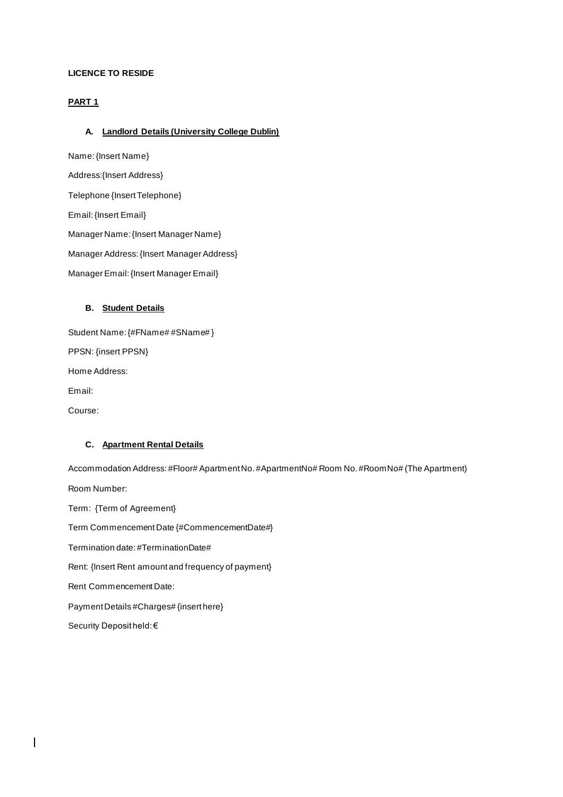## **LICENCE TO RESIDE**

## **PART 1**

## **A. Landlord Details (University College Dublin)**

Name:{Insert Name} Address:{Insert Address} Telephone {Insert Telephone} Email: {Insert Email} Manager Name: {Insert Manager Name} Manager Address: {Insert Manager Address} Manager Email: {Insert Manager Email}

## **B. Student Details**

Student Name: {#FName# #SName# } PPSN: {insert PPSN} Home Address: Email: Course:

## **C. Apartment Rental Details**

 $\overline{\phantom{a}}$ 

Accommodation Address: #Floor# Apartment No. #ApartmentNo# Room No. #RoomNo# (The Apartment) Room Number: Term: {Term of Agreement} Term Commencement Date {#CommencementDate#} Termination date: #TerminationDate# Rent: {Insert Rent amount and frequency of payment} Rent Commencement Date: Payment Details #Charges# {insert here} Security Deposit held: €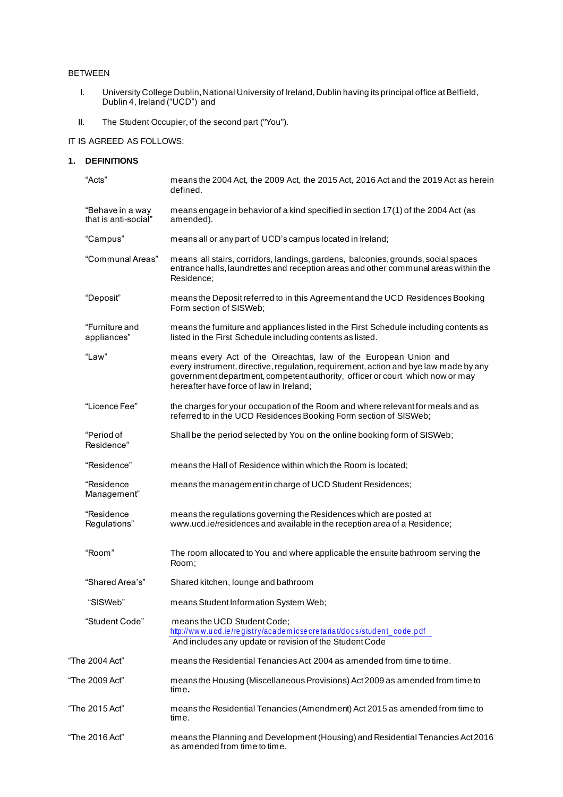## BETWEEN

- I. University College Dublin, National University of Ireland, Dublin having its principal office at Belfield, Dublin 4, Ireland ("UCD") and
- II. The Student Occupier, of the second part ("You").

## IT IS AGREED AS FOLLOWS:

## **1. DEFINITIONS**

| "Acts"                                   | means the 2004 Act, the 2009 Act, the 2015 Act, 2016 Act and the 2019 Act as herein<br>defined.                                                                                                                                                                                      |
|------------------------------------------|--------------------------------------------------------------------------------------------------------------------------------------------------------------------------------------------------------------------------------------------------------------------------------------|
| "Behave in a way<br>that is anti-social" | means engage in behavior of a kind specified in section 17(1) of the 2004 Act (as<br>amended).                                                                                                                                                                                       |
| "Campus"                                 | means all or any part of UCD's campus located in Ireland;                                                                                                                                                                                                                            |
| "Communal Areas"                         | means all stairs, corridors, landings, gardens, balconies, grounds, social spaces<br>entrance halls, laundrettes and reception areas and other communal areas within the<br>Residence:                                                                                               |
| "Deposit"                                | means the Deposit referred to in this Agreement and the UCD Residences Booking<br>Form section of SISWeb:                                                                                                                                                                            |
| "Furniture and<br>appliances"            | means the furniture and appliances listed in the First Schedule including contents as<br>listed in the First Schedule including contents as listed.                                                                                                                                  |
| "Law"                                    | means every Act of the Oireachtas, law of the European Union and<br>every instrument, directive, regulation, requirement, action and bye law made by any<br>government department, competent authority, officer or court which now or may<br>hereafter have force of law in Ireland; |
| "Licence Fee"                            | the charges for your occupation of the Room and where relevant for meals and as<br>referred to in the UCD Residences Booking Form section of SISWeb;                                                                                                                                 |
| "Period of<br>Residence"                 | Shall be the period selected by You on the online booking form of SISWeb;                                                                                                                                                                                                            |
| "Residence"                              | means the Hall of Residence within which the Room is located;                                                                                                                                                                                                                        |
| "Residence<br>Management"                | means the management in charge of UCD Student Residences;                                                                                                                                                                                                                            |
| "Residence<br>Regulations"               | means the regulations governing the Residences which are posted at<br>www.ucd.ie/residences and available in the reception area of a Residence;                                                                                                                                      |
| "Room"                                   | The room allocated to You and where applicable the ensuite bathroom serving the<br>Room;                                                                                                                                                                                             |
| "Shared Area's"                          | Shared kitchen, lounge and bathroom                                                                                                                                                                                                                                                  |
| "SISWeb"                                 | means Student Information System Web;                                                                                                                                                                                                                                                |
| "Student Code"                           | means the UCD Student Code;<br>http://www.ucd.ie/registry/academicsecretariat/docs/student_code.pdf<br>And includes any update or revision of the Student Code                                                                                                                       |
| "The 2004 Act"                           | means the Residential Tenancies Act 2004 as amended from time to time.                                                                                                                                                                                                               |
| "The 2009 Act"                           | means the Housing (Miscellaneous Provisions) Act 2009 as amended from time to<br>time.                                                                                                                                                                                               |
| "The 2015 Act"                           | means the Residential Tenancies (Amendment) Act 2015 as amended from time to<br>time.                                                                                                                                                                                                |
| "The 2016 Act"                           | means the Planning and Development (Housing) and Residential Tenancies Act 2016<br>as amended from time to time.                                                                                                                                                                     |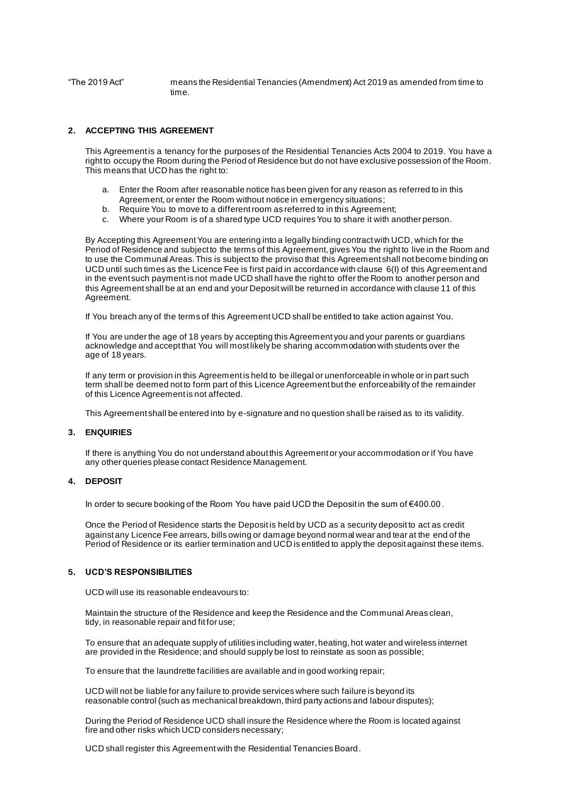"The 2019 Act" means the Residential Tenancies (Amendment) Act 2019 as amended from time to time.

### **2. ACCEPTING THIS AGREEMENT**

This Agreement is a tenancy for the purposes of the Residential Tenancies Acts 2004 to 2019. You have a right to occupy the Room during the Period of Residence but do not have exclusive possession of the Room. This means that UCD has the right to:

- a. Enter the Room after reasonable notice has been given for any reason as referred to in this Agreement, or enter the Room without notice in emergency situations;
- b. Require You to move to a different room as referred to in this Agreement;
- c. Where your Room is of a shared type UCD requires You to share it with another person.

By Accepting this Agreement You are entering into a legally binding contract with UCD, which for the Period of Residence and subject to the terms of this Agreement, gives You the right to live in the Room and to use the Communal Areas. This is subject to the proviso that this Agreement shall not become binding on UCD until such times as the Licence Fee is first paid in accordance with clause 6(I) of this Agreement and in the event such payment is not made UCD shall have the right to offer the Room to another person and this Agreement shall be at an end and your Deposit will be returned in accordance with clause 11 of this Agreement.

If You breach any of the terms of this Agreement UCD shall be entitled to take action against You.

If You are under the age of 18 years by accepting this Agreement you and your parents or guardians acknowledge and accept that You will most likely be sharing accommodation with students over the age of 18 years.

If any term or provision in this Agreement is held to be illegal or unenforceable in whole or in part such term shall be deemed not to form part of this Licence Agreement but the enforceability of the remainder of this Licence Agreement is not affected.

This Agreement shall be entered into by e-signature and no question shall be raised as to its validity.

#### **3. ENQUIRIES**

If there is anything You do not understand about this Agreement or your accommodation or if You have any other queries please contact Residence Management.

### **4. DEPOSIT**

In order to secure booking of the Room You have paid UCD the Deposit in the sum of €400.00 .

Once the Period of Residence starts the Deposit is held by UCD as a security deposit to act as credit against any Licence Fee arrears, bills owing or damage beyond normal wear and tear at the end of the Period of Residence or its earlier termination and UCD is entitled to apply the deposit against these items.

### **5. UCD'S RESPONSIBILITIES**

UCD will use its reasonable endeavours to:

Maintain the structure of the Residence and keep the Residence and the Communal Areas clean, tidy, in reasonable repair and fit for use;

To ensure that an adequate supply of utilities including water, heating, hot water and wireless internet are provided in the Residence; and should supply be lost to reinstate as soon as possible;

To ensure that the laundrette facilities are available and in good working repair;

UCD will not be liable for any failure to provide services where such failure is beyond its reasonable control (such as mechanical breakdown, third party actions and labour disputes);

During the Period of Residence UCD shall insure the Residence where the Room is located against fire and other risks which UCD considers necessary;

UCD shall register this Agreement with the Residential Tenancies Board.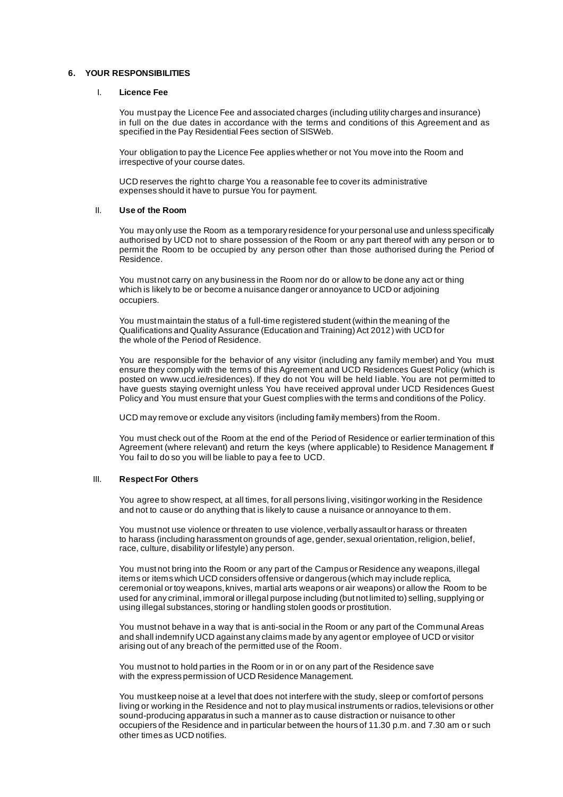### **6. YOUR RESPONSIBILITIES**

#### I. **Licence Fee**

You must pay the Licence Fee and associated charges (including utility charges and insurance) in full on the due dates in accordance with the terms and conditions of this Agreement and as specified in the Pay Residential Fees section of SISWeb.

Your obligation to pay the Licence Fee applies whether or not You move into the Room and irrespective of your course dates.

UCD reserves the right to charge You a reasonable fee to cover its administrative expenses should it have to pursue You for payment.

#### II. **Use of the Room**

You may only use the Room as a temporary residence for your personal use and unless specifically authorised by UCD not to share possession of the Room or any part thereof with any person or to permit the Room to be occupied by any person other than those authorised during the Period of Residence.

You must not carry on any business in the Room nor do or allow to be done any act or thing which is likely to be or become a nuisance danger or annoyance to UCD or adjoining occupiers.

You must maintain the status of a full-time registered student(within the meaning of the Qualifications and Quality Assurance (Education and Training) Act 2012) with UCD for the whole of the Period of Residence.

You are responsible for the behavior of any visitor (including any family member) and You must ensure they comply with the terms of this Agreement and UCD Residences Guest Policy (which is posted on www.ucd.ie/residences). If they do not You will be held l iable. You are not permitted to have guests staying overnight unless You have received approval under UCD Residences Guest Policy and You must ensure that your Guest complies with the terms and conditions of the Policy.

UCD may remove or exclude any visitors (including family members) from the Room.

You must check out of the Room at the end of the Period of Residence or earlier termination of this Agreement (where relevant) and return the keys (where applicable) to Residence Management. If You fail to do so you will be liable to pay a fee to UCD.

#### III. **Respect For Others**

You agree to show respect, at all times, for all persons living, visitingor working in the Residence and not to cause or do anything that is likely to cause a nuisance or annoyance to them.

You must not use violence or threaten to use violence, verbally assault or harass or threaten to harass (including harassment on grounds of age, gender, sexual orientation, religion, belief, race, culture, disability or lifestyle) any person.

You must not bring into the Room or any part of the Campus or Residence any weapons, illegal items or items which UCD considers offensive or dangerous (which may include replica, ceremonial or toy weapons, knives, martial arts weapons or air weapons) or allow the Room to be used for any criminal, immoral or illegal purpose including (but not limited to) selling, supplying or using illegal substances, storing or handling stolen goods or prostitution.

You must not behave in a way that is anti-social in the Room or any part of the Communal Areas and shall indemnify UCD against any claims made by any agent or employee of UCD or visitor arising out of any breach of the permitted use of the Room.

You must not to hold parties in the Room or in or on any part of the Residence save with the express permission of UCD Residence Management.

You must keep noise at a level that does not interfere with the study, sleep or comfort of persons living or working in the Residence and not to play musical instruments or radios, televisions or other sound-producing apparatus in such a manner as to cause distraction or nuisance to other occupiers of the Residence and in particular between the hours of 11.30 p.m. and 7.30 am o r such other times as UCD notifies.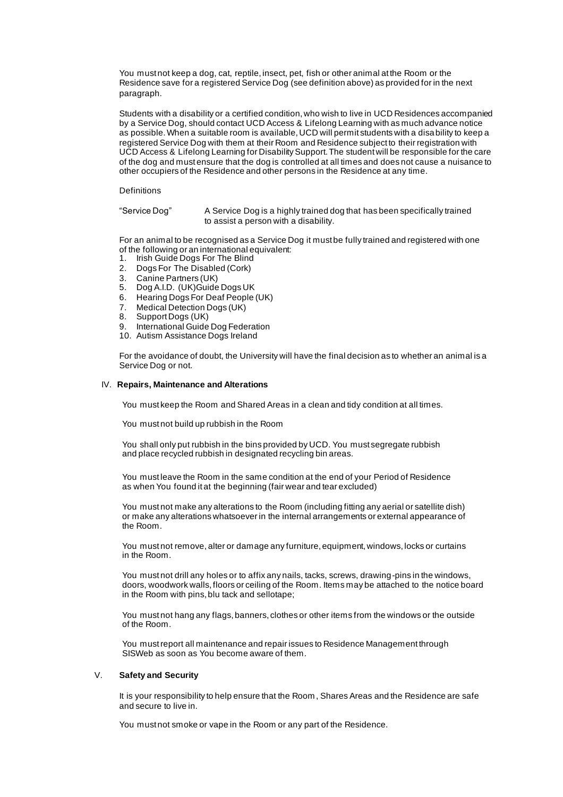You must not keep a dog, cat, reptile, insect, pet, fish or other animal at the Room or the Residence save for a registered Service Dog (see definition above) as provided for in the next paragraph.

Students with a disability or a certified condition, who wish to live in UCD Residences accompanied by a Service Dog, should contact UCD Access & Lifelong Learning with as much advance notice as possible. When a suitable room is available, UCD will permit students with a disability to keep a registered Service Dog with them at their Room and Residence subject to their registration with UCD Access & Lifelong Learning for Disability Support. The student will be responsible for the care of the dog and must ensure that the dog is controlled at all times and does not cause a nuisance to other occupiers of the Residence and other persons in the Residence at any time.

#### **Definitions**

"Service Dog" A Service Dog is a highly trained dog that has been specifically trained to assist a person with a disability.

For an animal to be recognised as a Service Dog it must be fully trained and registered with one of the following or an international equivalent:

- 1. Irish Guide Dogs For The Blind
- 2. Dogs For The Disabled (Cork)<br>3. Canine Partners (UK)
- 
- 3. Canine Partners (UK)<br>5. Dog A.I.D. (UK) Guide Dog A.I.D. (UK) Guide Dogs UK
- 6. Hearing Dogs For Deaf People (UK)<br>7. Medical Detection Dogs (UK)
- 7. Medical Detection Dogs (UK)<br>8. Support Dogs (UK)
- Support Dogs (UK)
- 9. International Guide Dog Federation
- 10. Autism Assistance Dogs Ireland

For the avoidance of doubt, the University will have the final decision as to whether an animal is a Service Dog or not.

#### IV. **Repairs, Maintenance and Alterations**

You must keep the Room and Shared Areas in a clean and tidy condition at all times.

You must not build up rubbish in the Room

You shall only put rubbish in the bins provided by UCD. You must segregate rubbish and place recycled rubbish in designated recycling bin areas.

You must leave the Room in the same condition at the end of your Period of Residence as when You found it at the beginning (fair wear and tear excluded)

You must not make any alterations to the Room (including fitting any aerial or satellite dish) or make any alterations whatsoever in the internal arrangements or external appearance of the Room.

You must not remove, alter or damage any furniture, equipment, windows, locks or curtains in the Room.

You must not drill any holes or to affix any nails, tacks, screws, drawing-pins in the windows, doors, woodwork walls, floors or ceiling of the Room. Items may be attached to the notice board in the Room with pins, blu tack and sellotape;

You must not hang any flags, banners, clothes or other items from the windows or the outside of the Room.

You must report all maintenance and repair issues to Residence Management through SISWeb as soon as You become aware of them.

### V. **Safety and Security**

It is your responsibility to help ensure that the Room , Shares Areas and the Residence are safe and secure to live in.

You must not smoke or vape in the Room or any part of the Residence.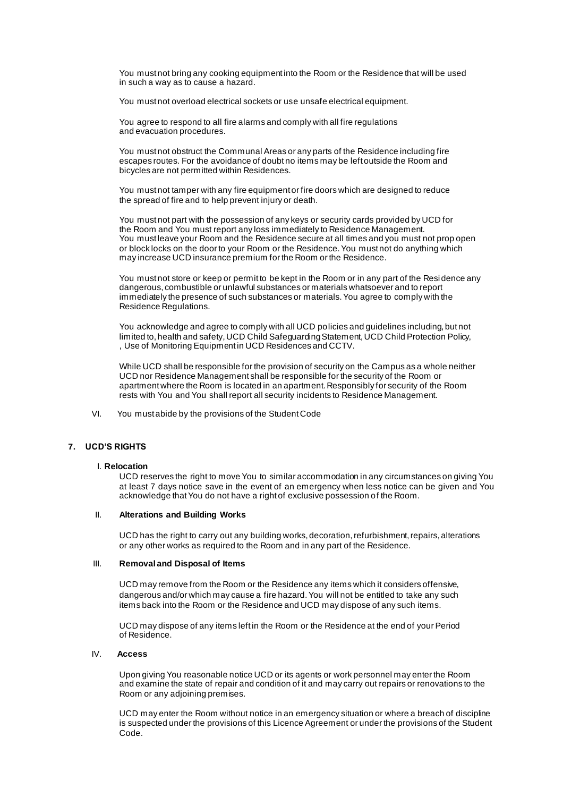You must not bring any cooking equipment into the Room or the Residence that will be used in such a way as to cause a hazard.

You must not overload electrical sockets or use unsafe electrical equipment.

You agree to respond to all fire alarms and comply with all fire regulations and evacuation procedures.

You must not obstruct the Communal Areas or any parts of the Residence including fire escapes routes. For the avoidance of doubt no items may be left outside the Room and bicycles are not permitted within Residences.

You must not tamper with any fire equipment or fire doors which are designed to reduce the spread of fire and to help prevent injury or death.

You must not part with the possession of any keys or security cards provided by UCD for the Room and You must report any loss immediately to Residence Management. You must leave your Room and the Residence secure at all times and you must not prop open or block locks on the door to your Room or the Residence. You must not do anything which may increase UCD insurance premium for the Room or the Residence.

You must not store or keep or permit to be kept in the Room or in any part of the Residence any dangerous, combustible or unlawful substances or materials whatsoever and to report immediately the presence of such substances or materials. You agree to comply with the Residence Regulations.

You acknowledge and agree to comply with all UCD policies and guidelines including, but not limited to, health and safety, UCD Child Safeguarding Statement, UCD Child Protection Policy, , Use of Monitoring Equipment in UCD Residences and CCTV.

While UCD shall be responsible for the provision of security on the Campus as a whole neither UCD nor Residence Management shall be responsible for the security of the Room or apartment where the Room is located in an apartment. Responsibly for security of the Room rests with You and You shall report all security incidents to Residence Management.

VI. You must abide by the provisions of the Student Code

## **7. UCD'S RIGHTS**

### I. **Relocation**

UCD reserves the right to move You to similar accommodation in any circumstances on giving You at least 7 days notice save in the event of an emergency when less notice can be given and You acknowledge that You do not have a right of exclusive possession of the Room.

#### II. **Alterations and Building Works**

UCD has the right to carry out any building works, decoration, refurbishment, repairs, alterations or any other works as required to the Room and in any part of the Residence.

### III. **Removal and Disposal of Items**

UCD may remove from the Room or the Residence any items which it considers offensive, dangerous and/or which may cause a fire hazard. You will not be entitled to take any such items back into the Room or the Residence and UCD may dispose of any such items.

UCD may dispose of any items left in the Room or the Residence at the end of your Period of Residence.

#### IV. **Access**

Upon giving You reasonable notice UCD or its agents or work personnel may enter the Room and examine the state of repair and condition of it and may carry out repairs or renovations to the Room or any adjoining premises.

UCD may enter the Room without notice in an emergency situation or where a breach of discipline is suspected under the provisions of this Licence Agreement or under the provisions of the Student Code.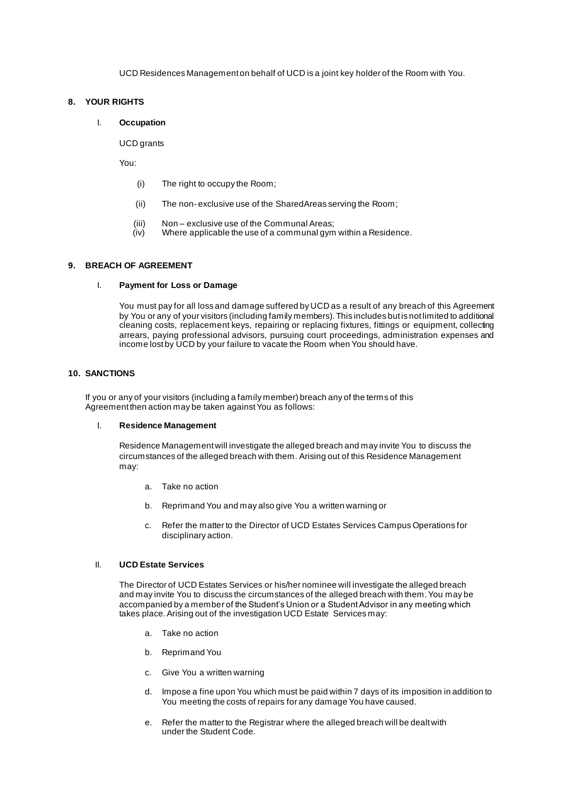UCD Residences Management on behalf of UCD is a joint key holder of the Room with You.

## **8. YOUR RIGHTS**

### I. **Occupation**

UCD grants

You:

- (i) The right to occupy the Room;
- (ii) The non- exclusive use of the SharedAreas serving the Room;
- (iii) Non exclusive use of the Communal Areas;<br>(iv) Where applicable the use of a communal gym
- Where applicable the use of a communal gym within a Residence.

## **9. BREACH OF AGREEMENT**

## I. **Payment for Loss or Damage**

You must pay for all loss and damage suffered by UCD as a result of any breach of this Agreement by You or any of your visitors (including family members). This includes but is not limited to additional cleaning costs, replacement keys, repairing or replacing fixtures, fittings or equipment, collecting arrears, paying professional advisors, pursuing court proceedings, administration expenses and income lost by UCD by your failure to vacate the Room when You should have.

### **10. SANCTIONS**

If you or any of your visitors (including a family member) breach any of the terms of this Agreement then action may be taken against You as follows:

### I. **Residence Management**

Residence Management will investigate the alleged breach and may invite You to discuss the circumstances of the alleged breach with them. Arising out of this Residence Management may:

- a. Take no action
- b. Reprimand You and may also give You a written warning or
- c. Refer the matter to the Director of UCD Estates Services Campus Operations for disciplinary action.

## II. **UCD Estate Services**

The Director of UCD Estates Services or his/her nominee will investigate the alleged breach and may invite You to discuss the circumstances of the alleged breach with them. You may be accompanied by a member of the Student's Union or a Student Advisor in any meeting which takes place. Arising out of the investigation UCD Estate Services may:

- a. Take no action
- b. Reprimand You
- c. Give You a written warning
- d. Impose a fine upon You which must be paid within 7 days of its imposition in addition to You meeting the costs of repairs for any damage You have caused.
- e. Refer the matter to the Registrar where the alleged breach will be dealt with under the Student Code.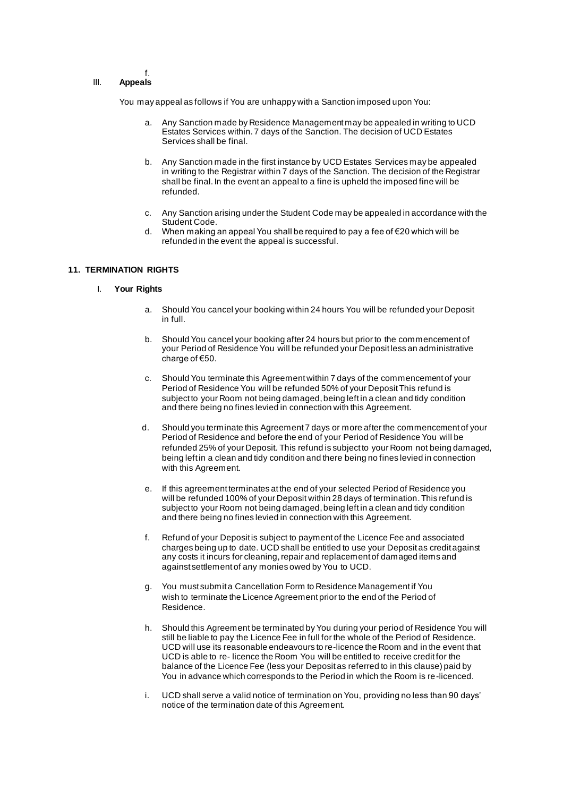### III. **Appeals**

f.

You may appeal as follows if You are unhappy with a Sanction imposed upon You:

- a. Any Sanction made by Residence Management may be appealed in writing to UCD Estates Services within. 7 days of the Sanction. The decision of UCD Estates Services shall be final.
- b. Any Sanction made in the first instance by UCD Estates Services may be appealed in writing to the Registrar within 7 days of the Sanction. The decision of the Registrar shall be final. In the event an appeal to a fine is upheld the imposed fine will be refunded.
- c. Any Sanction arising under the Student Code may be appealed in accordance with the Student Code.
- d. When making an appeal You shall be required to pay a fee of €20 which will be refunded in the event the appeal is successful.

### **11. TERMINATION RIGHTS**

- I. **Your Rights**
	- a. Should You cancel your booking within 24 hours You will be refunded your Deposit in full.
	- b. Should You cancel your booking after 24 hours but prior to the commencement of your Period of Residence You will be refunded your Deposit less an administrative charge of €50.
	- c. Should You terminate this Agreement within 7 days of the commencement of your Period of Residence You will be refunded 50% of your Deposit This refund is subject to your Room not being damaged, being left in a clean and tidy condition and there being no fines levied in connection with this Agreement.
	- d. Should you terminate this Agreement 7 days or more after the commencement of your Period of Residence and before the end of your Period of Residence You will be refunded 25% of your Deposit. This refund is subject to your Room not being damaged, being left in a clean and tidy condition and there being no fines levied in connection with this Agreement.
	- e. If this agreement terminates at the end of your selected Period of Residence you will be refunded 100% of your Deposit within 28 days of termination.This refund is subject to your Room not being damaged, being left in a clean and tidy condition and there being no fines levied in connection with this Agreement.
	- f. Refund of your Deposit is subject to payment of the Licence Fee and associated charges being up to date. UCD shall be entitled to use your Deposit as credit against any costs it incurs for cleaning, repair and replacement of damaged items and against settlement of any monies owed by You to UCD.
	- g. You must submit a Cancellation Form to Residence Management if You wish to terminate the Licence Agreement prior to the end of the Period of Residence.
	- h. Should this Agreement be terminated by You during your period of Residence You will still be liable to pay the Licence Fee in full for the whole of the Period of Residence. UCD will use its reasonable endeavours to re-licence the Room and in the event that UCD is able to re- licence the Room You will be entitled to receive credit for the balance of the Licence Fee (less your Deposit as referred to in this clause) paid by You in advance which corresponds to the Period in which the Room is re-licenced.
	- i. UCD shall serve a valid notice of termination on You, providing no less than 90 days' notice of the termination date of this Agreement.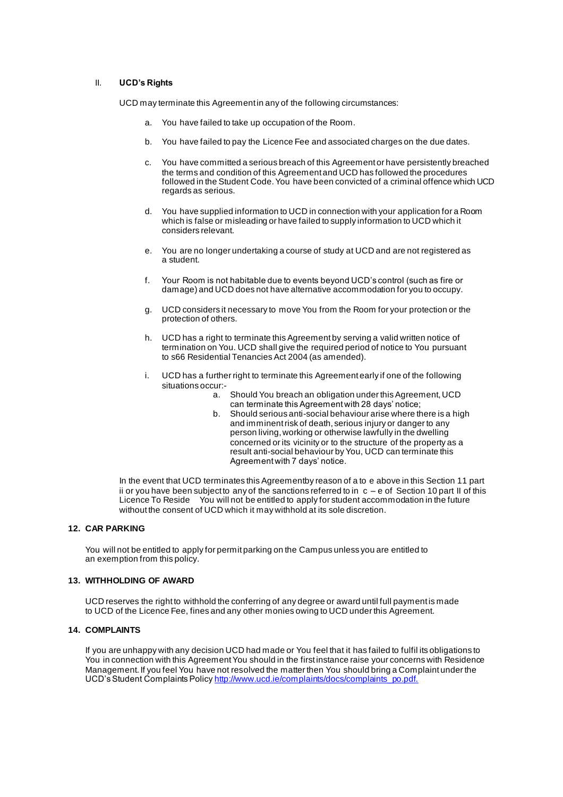### II. **UCD's Rights**

UCD may terminate this Agreement in any of the following circumstances:

- a. You have failed to take up occupation of the Room.
- b. You have failed to pay the Licence Fee and associated charges on the due dates.
- c. You have committed a serious breach of this Agreement or have persistently breached the terms and condition of this Agreement and UCD has followed the procedures followed in the Student Code. You have been convicted of a criminal offence which UCD regards as serious.
- d. You have supplied information to UCD in connection with your application for a Room which is false or misleading or have failed to supply information to UCD which it considers relevant.
- e. You are no longer undertaking a course of study at UCD and are not registered as a student.
- f. Your Room is not habitable due to events beyond UCD's control (such as fire or damage) and UCD does not have alternative accommodation for you to occupy.
- g. UCD considers it necessary to move You from the Room for your protection or the protection of others.
- h. UCD has a right to terminate this Agreement by serving a valid written notice of termination on You. UCD shall give the required period of notice to You pursuant to s66 Residential Tenancies Act 2004 (as amended).
- i. UCD has a further right to terminate this Agreement early if one of the following situations occur:
	- a. Should You breach an obligation under this Agreement, UCD can terminate this Agreement with 28 days' notice;
	- b. Should serious anti-social behaviour arise where there is a high and imminent risk of death, serious injury or danger to any person living, working or otherwise lawfully in the dwelling concerned or its vicinity or to the structure of the property as a result anti-social behaviour by You, UCD can terminate this Agreement with 7 days' notice.

In the event that UCD terminates this Agreementby reason of a to e above in this Section 11 part ii or you have been subject to any of the sanctions referred to in  $c - e$  of Section 10 part II of this Licence To Reside You will not be entitled to apply for student accommodation in the future without the consent of UCD which it may withhold at its sole discretion.

### **12. CAR PARKING**

You will not be entitled to apply for permit parking on the Campus unless you are entitled to an exemption from this policy.

### **13. WITHHOLDING OF AWARD**

UCD reserves the right to withhold the conferring of any degree or award until full payment is made to UCD of the Licence Fee, fines and any other monies owing to UCD under this Agreement.

### **14. COMPLAINTS**

If you are unhappy with any decision UCD had made or You feel that it has failed to fulfil its obligations to You in connection with this Agreement You should in the first instance raise your concerns with Residence Management. If you feel You have not resolved the matter then You should bring a Complaint under the UCD's Student Complaints Polic[y http://www.ucd.ie/complaints/docs/complaints\\_po.pdf.](http://www.ucd.ie/complaints/docs/complaints_po.pdf.)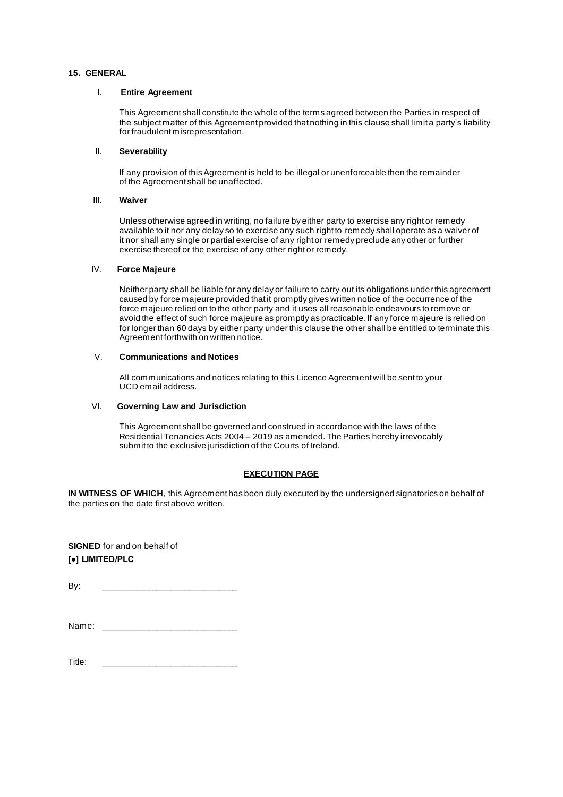### **15. GENERAL**

#### I. **Entire Agreement**

This Agreement shall constitute the whole of the terms agreed between the Parties in respect of the subject matter of this Agreement provided that nothing in this clause shall limit a party's liability for fraudulent misrepresentation.

### II. **Severability**

If any provision of this Agreement is held to be illegal or unenforceable then the remainder of the Agreement shall be unaffected.

#### III. **Waiver**

Unless otherwise agreed in writing, no failure by either party to exercise any right or remedy available to it nor any delay so to exercise any such right to remedy shall operate as a waiver of it nor shall any single or partial exercise of any right or remedy preclude any other or further exercise thereof or the exercise of any other right or remedy.

### IV. **Force Majeure**

Neither party shall be liable for any delay or failure to carry out its obligations under this agreement caused by force majeure provided that it promptly gives written notice of the occurrence of the force majeure relied on to the other party and it uses all reasonable endeavours to remove or avoid the effect of such force majeure as promptly as practicable. If any force majeure is relied on for longer than 60 days by either party under this clause the other shall be entitled to terminate this Agreement forthwith on written notice.

### V. **Communications and Notices**

All communications and notices relating to this Licence Agreement will be sent to your UCD email address.

### VI. **Governing Law and Jurisdiction**

This Agreement shall be governed and construed in accordance with the laws of the Residential Tenancies Acts 2004 – 2019 as amended. The Parties hereby irrevocably submit to the exclusive jurisdiction of the Courts of Ireland.

### **EXECUTION PAGE**

**IN WITNESS OF WHICH**, this Agreement has been duly executed by the undersigned signatories on behalf of the parties on the date first above written.

**SIGNED** for and on behalf of **[●] LIMITED/PLC**

By: \_\_\_\_\_\_\_\_\_\_\_\_\_\_\_\_\_\_\_\_\_\_\_\_\_\_\_\_

| Name: |  |
|-------|--|
|-------|--|

Title: \_\_\_\_\_\_\_\_\_\_\_\_\_\_\_\_\_\_\_\_\_\_\_\_\_\_\_\_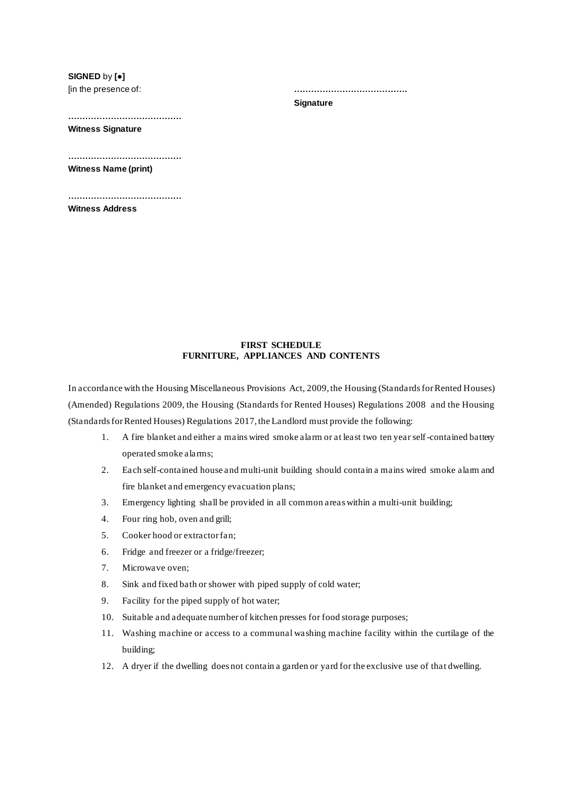**SIGNED** by **[●]** [in the presence of:

**………………………………….**

#### **Signature**

**…………………………………. Witness Signature**

**………………………………….**

**Witness Name (print)**

**…………………………………. Witness Address**

### **FIRST SCHEDULE FURNITURE, APPLIANCES AND CONTENTS**

In accordance with the Housing Miscellaneous Provisions Act, 2009, the Housing (Standards for Rented Houses) (Amended) Regulations 2009, the Housing (Standards for Rented Houses) Regulations 2008 and the Housing (Standards for Rented Houses) Regulations 2017, the Landlord must provide the following:

- 1. A fire blanket and either a mains wired smoke alarm or at least two ten year self-contained battery operated smoke alarms;
- 2. Each self-contained house and multi-unit building should contain a mains wired smoke alarm and fire blanket and emergency evacuation plans;
- 3. Emergency lighting shall be provided in all common areas within a multi-unit building;
- 4. Four ring hob, oven and grill;
- 5. Cooker hood or extractor fan;
- 6. Fridge and freezer or a fridge/freezer;
- 7. Microwave oven;
- 8. Sink and fixed bath or shower with piped supply of cold water;
- 9. Facility for the piped supply of hot water;
- 10. Suitable and adequate number of kitchen presses for food storage purposes;
- 11. Washing machine or access to a communal washing machine facility within the curtilage of the building;
- 12. A dryer if the dwelling does not contain a garden or yard for the exclusive use of that dwelling.